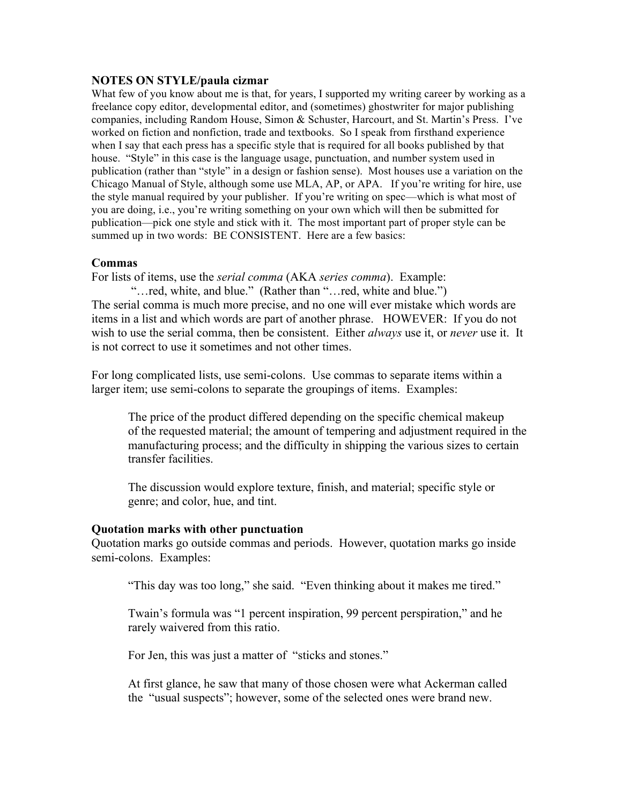#### **NOTES ON STYLE/paula cizmar**

What few of you know about me is that, for years, I supported my writing career by working as a freelance copy editor, developmental editor, and (sometimes) ghostwriter for major publishing companies, including Random House, Simon & Schuster, Harcourt, and St. Martin's Press. I've worked on fiction and nonfiction, trade and textbooks. So I speak from firsthand experience when I say that each press has a specific style that is required for all books published by that house. "Style" in this case is the language usage, punctuation, and number system used in publication (rather than "style" in a design or fashion sense). Most houses use a variation on the Chicago Manual of Style, although some use MLA, AP, or APA. If you're writing for hire, use the style manual required by your publisher. If you're writing on spec—which is what most of you are doing, i.e., you're writing something on your own which will then be submitted for publication—pick one style and stick with it. The most important part of proper style can be summed up in two words: BE CONSISTENT. Here are a few basics:

### **Commas**

For lists of items, use the *serial comma* (AKA *series comma*). Example:

 "…red, white, and blue." (Rather than "…red, white and blue.") The serial comma is much more precise, and no one will ever mistake which words are items in a list and which words are part of another phrase. HOWEVER: If you do not wish to use the serial comma, then be consistent. Either *always* use it, or *never* use it. It is not correct to use it sometimes and not other times.

For long complicated lists, use semi-colons. Use commas to separate items within a larger item; use semi-colons to separate the groupings of items. Examples:

The price of the product differed depending on the specific chemical makeup of the requested material; the amount of tempering and adjustment required in the manufacturing process; and the difficulty in shipping the various sizes to certain transfer facilities.

The discussion would explore texture, finish, and material; specific style or genre; and color, hue, and tint.

#### **Quotation marks with other punctuation**

Quotation marks go outside commas and periods. However, quotation marks go inside semi-colons. Examples:

"This day was too long," she said. "Even thinking about it makes me tired."

Twain's formula was "1 percent inspiration, 99 percent perspiration," and he rarely waivered from this ratio.

For Jen, this was just a matter of "sticks and stones."

At first glance, he saw that many of those chosen were what Ackerman called the "usual suspects"; however, some of the selected ones were brand new.